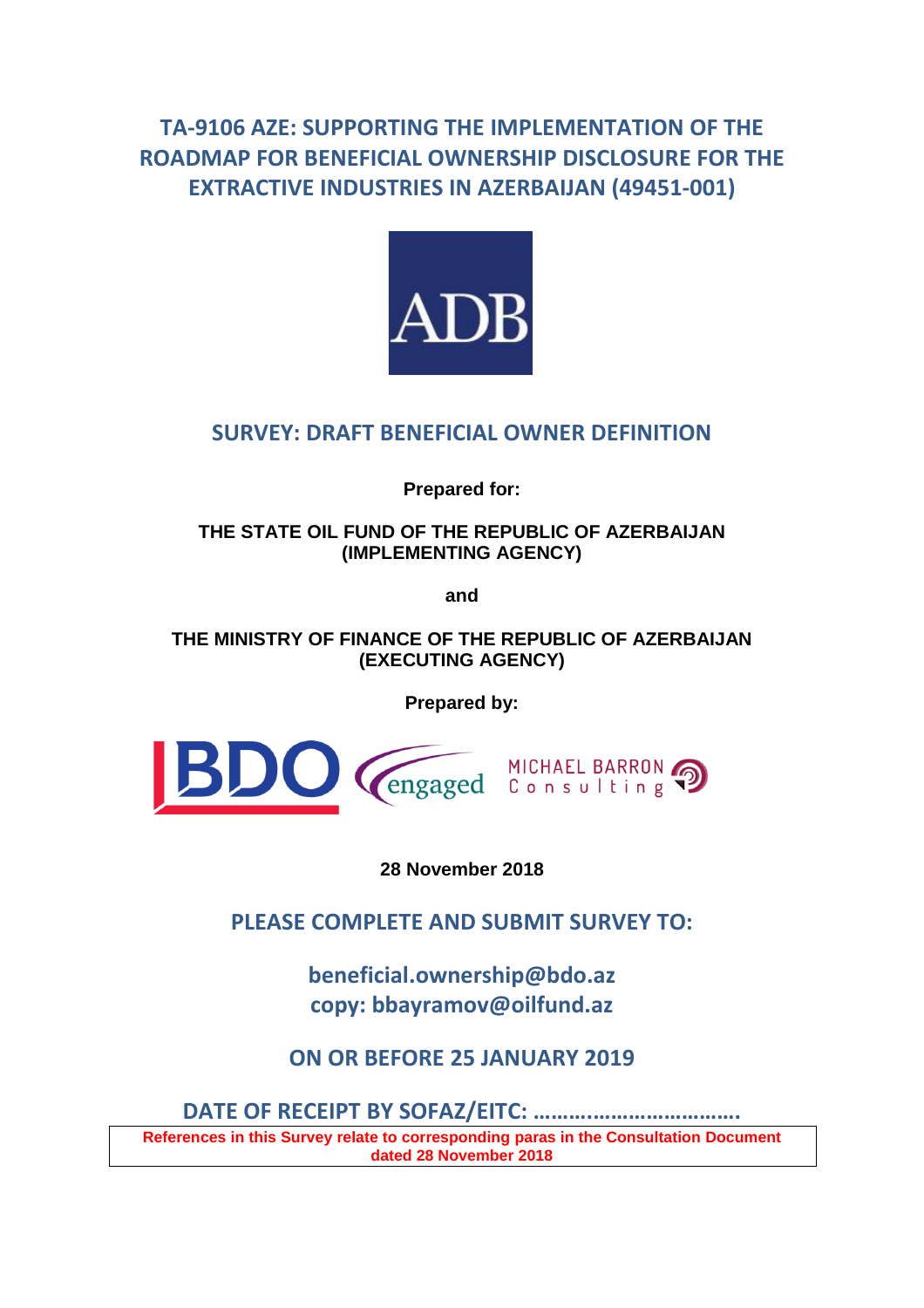# **TA-9106 AZE: SUPPORTING THE IMPLEMENTATION OF THE ROADMAP FOR BENEFICIAL OWNERSHIP DISCLOSURE FOR THE EXTRACTIVE INDUSTRIES IN AZERBAIJAN (49451-001)**



# **SURVEY: DRAFT BENEFICIAL OWNER DEFINITION**

**Prepared for:**

**THE STATE OIL FUND OF THE REPUBLIC OF AZERBAIJAN (IMPLEMENTING AGENCY)**

**and**

**THE MINISTRY OF FINANCE OF THE REPUBLIC OF AZERBAIJAN (EXECUTING AGENCY)**

**Prepared by:**



**28 November 2018**

**PLEASE COMPLETE AND SUBMIT SURVEY TO:**

**beneficial.ownership@bdo.az copy: bbayramov@oilfund.az**

**ON OR BEFORE 25 JANUARY 2019**

**DATE OF RECEIPT BY SOFAZ/EITC: ……….…………………….**

**References in this Survey relate to corresponding paras in the Consultation Document dated 28 November 2018**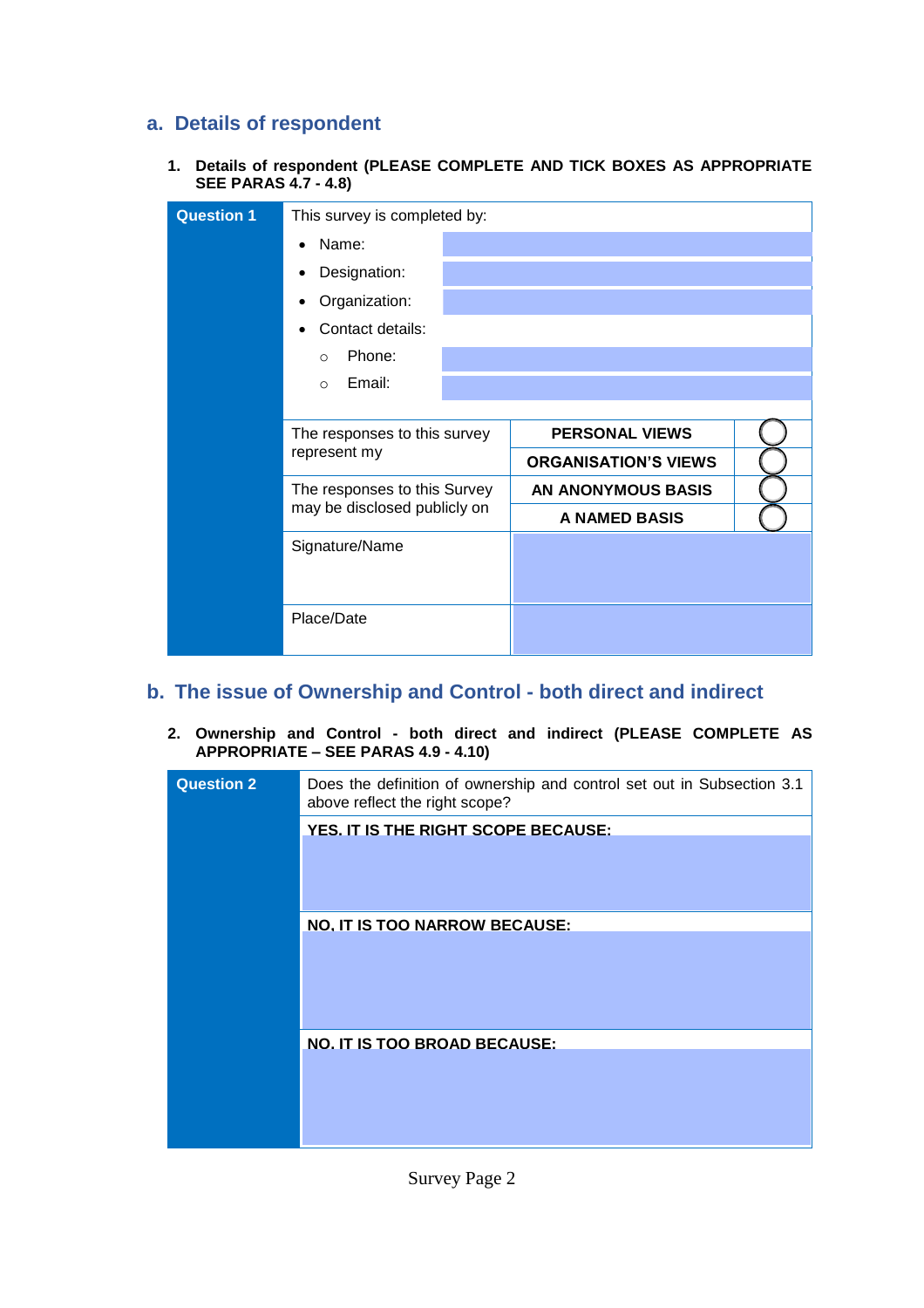### **a. Details of respondent**

**1. Details of respondent (PLEASE COMPLETE AND TICK BOXES AS APPROPRIATE SEE PARAS 4.7 - 4.8)**

| <b>Question 1</b> | This survey is completed by: |                             |  |  |
|-------------------|------------------------------|-----------------------------|--|--|
|                   | Name:                        |                             |  |  |
|                   | Designation:                 |                             |  |  |
|                   | Organization:                |                             |  |  |
|                   | Contact details:             |                             |  |  |
|                   | Phone:<br>$\Omega$           |                             |  |  |
|                   | Email:<br>$\Omega$           |                             |  |  |
|                   |                              |                             |  |  |
|                   | The responses to this survey | <b>PERSONAL VIEWS</b>       |  |  |
|                   | represent my                 | <b>ORGANISATION'S VIEWS</b> |  |  |
|                   | The responses to this Survey | <b>AN ANONYMOUS BASIS</b>   |  |  |
|                   | may be disclosed publicly on | A NAMED BASIS               |  |  |
|                   | Signature/Name               |                             |  |  |
|                   |                              |                             |  |  |
|                   |                              |                             |  |  |
|                   | Place/Date                   |                             |  |  |

### **b. The issue of Ownership and Control - both direct and indirect**

**2. Ownership and Control - both direct and indirect (PLEASE COMPLETE AS APPROPRIATE – SEE PARAS 4.9 - 4.10)**

| <b>Question 2</b> | Does the definition of ownership and control set out in Subsection 3.1<br>above reflect the right scope? |
|-------------------|----------------------------------------------------------------------------------------------------------|
|                   | YES. IT IS THE RIGHT SCOPE BECAUSE:                                                                      |
|                   | <b>NO. IT IS TOO NARROW BECAUSE:</b>                                                                     |
|                   | NO. IT IS TOO BROAD BECAUSE:                                                                             |

Survey Page 2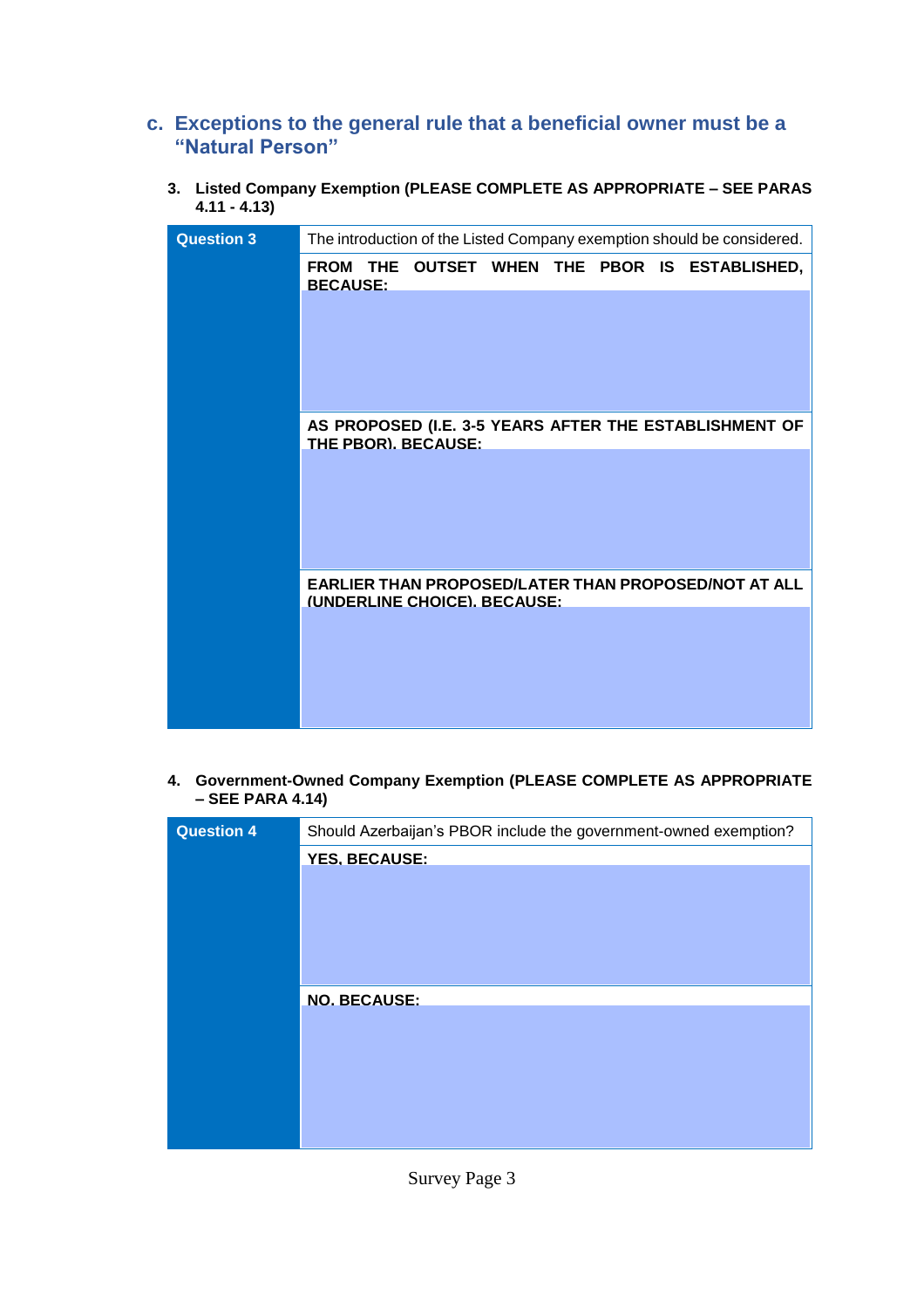## **c. Exceptions to the general rule that a beneficial owner must be a "Natural Person"**

**3. Listed Company Exemption (PLEASE COMPLETE AS APPROPRIATE – SEE PARAS 4.11 - 4.13)**

| <b>Question 3</b> |                 |                              |  |  | The introduction of the Listed Company exemption should be considered. |  |
|-------------------|-----------------|------------------------------|--|--|------------------------------------------------------------------------|--|
|                   | <b>BECAUSE:</b> |                              |  |  | FROM THE OUTSET WHEN THE PBOR IS ESTABLISHED,                          |  |
|                   |                 |                              |  |  |                                                                        |  |
|                   |                 | THE PBOR). BECAUSE:          |  |  | AS PROPOSED (I.E. 3-5 YEARS AFTER THE ESTABLISHMENT OF                 |  |
|                   |                 |                              |  |  |                                                                        |  |
|                   |                 | (UNDERLINE CHOICE). BECAUSE: |  |  | EARLIER THAN PROPOSED/LATER THAN PROPOSED/NOT AT ALL                   |  |
|                   |                 |                              |  |  |                                                                        |  |

**4. Government-Owned Company Exemption (PLEASE COMPLETE AS APPROPRIATE – SEE PARA 4.14)**

| <b>Question 4</b> | Should Azerbaijan's PBOR include the government-owned exemption? |
|-------------------|------------------------------------------------------------------|
|                   | <b>YES. BECAUSE:</b>                                             |
|                   |                                                                  |
|                   |                                                                  |
|                   |                                                                  |
|                   |                                                                  |
|                   | <b>NO. BECAUSE:</b>                                              |
|                   |                                                                  |
|                   |                                                                  |
|                   |                                                                  |
|                   |                                                                  |
|                   |                                                                  |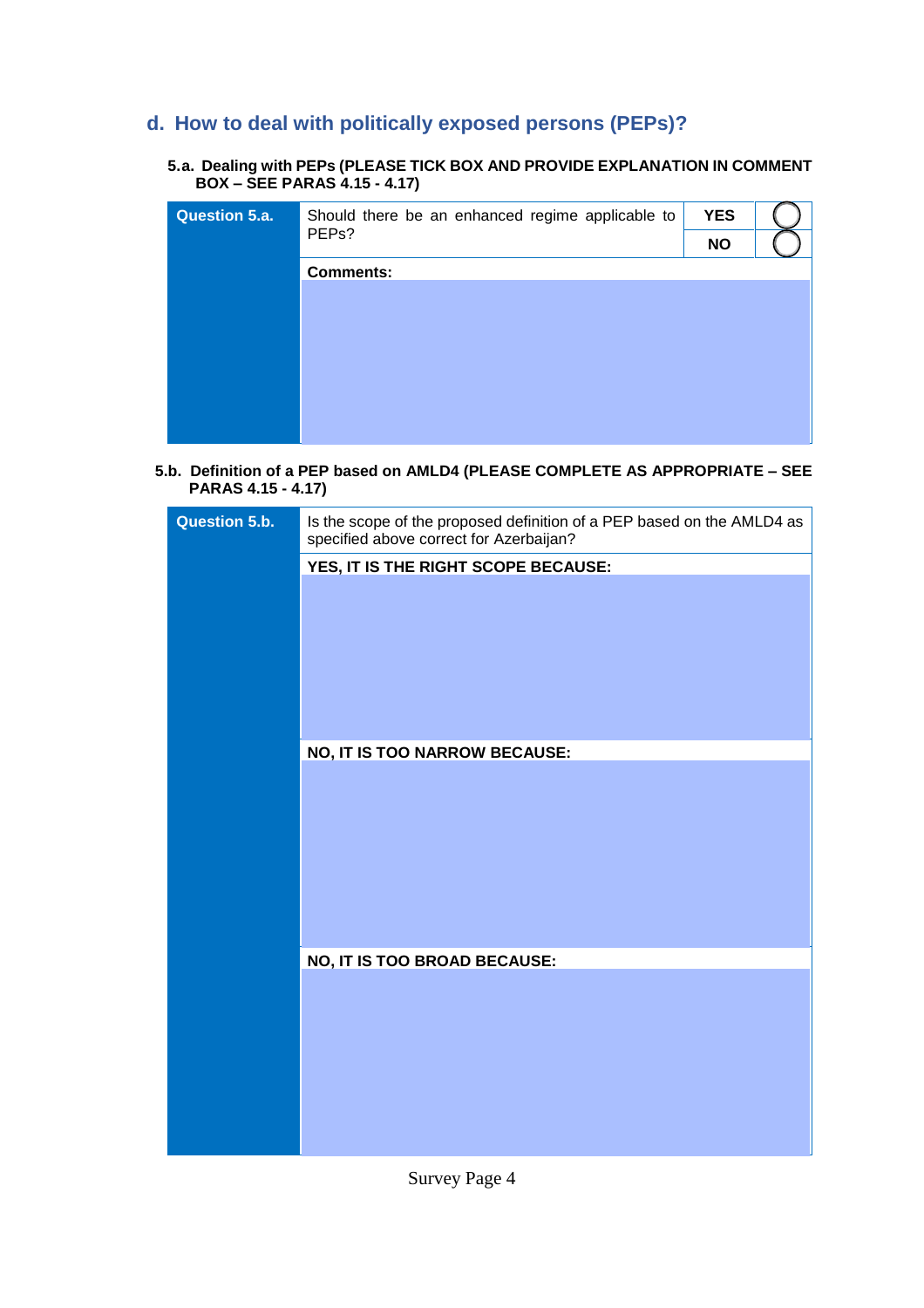# **d. How to deal with politically exposed persons (PEPs)?**

#### **5.a. Dealing with PEPs (PLEASE TICK BOX AND PROVIDE EXPLANATION IN COMMENT BOX – SEE PARAS 4.15 - 4.17)**

| <b>Question 5.a.</b> | Should there be an enhanced regime applicable to | <b>YES</b> |  |
|----------------------|--------------------------------------------------|------------|--|
|                      | PEP <sub>s</sub> ?                               | <b>NO</b>  |  |
|                      | <b>Comments:</b>                                 |            |  |
|                      |                                                  |            |  |
|                      |                                                  |            |  |
|                      |                                                  |            |  |
|                      |                                                  |            |  |
|                      |                                                  |            |  |
|                      |                                                  |            |  |
|                      |                                                  |            |  |

 **5.b. Definition of a PEP based on AMLD4 (PLEASE COMPLETE AS APPROPRIATE – SEE PARAS 4.15 - 4.17)**

| Question 5.b. | Is the scope of the proposed definition of a PEP based on the AMLD4 as<br>specified above correct for Azerbaijan? |
|---------------|-------------------------------------------------------------------------------------------------------------------|
|               | YES, IT IS THE RIGHT SCOPE BECAUSE:                                                                               |
|               |                                                                                                                   |
|               | NO, IT IS TOO NARROW BECAUSE:                                                                                     |
|               |                                                                                                                   |
|               | NO, IT IS TOO BROAD BECAUSE:                                                                                      |
|               |                                                                                                                   |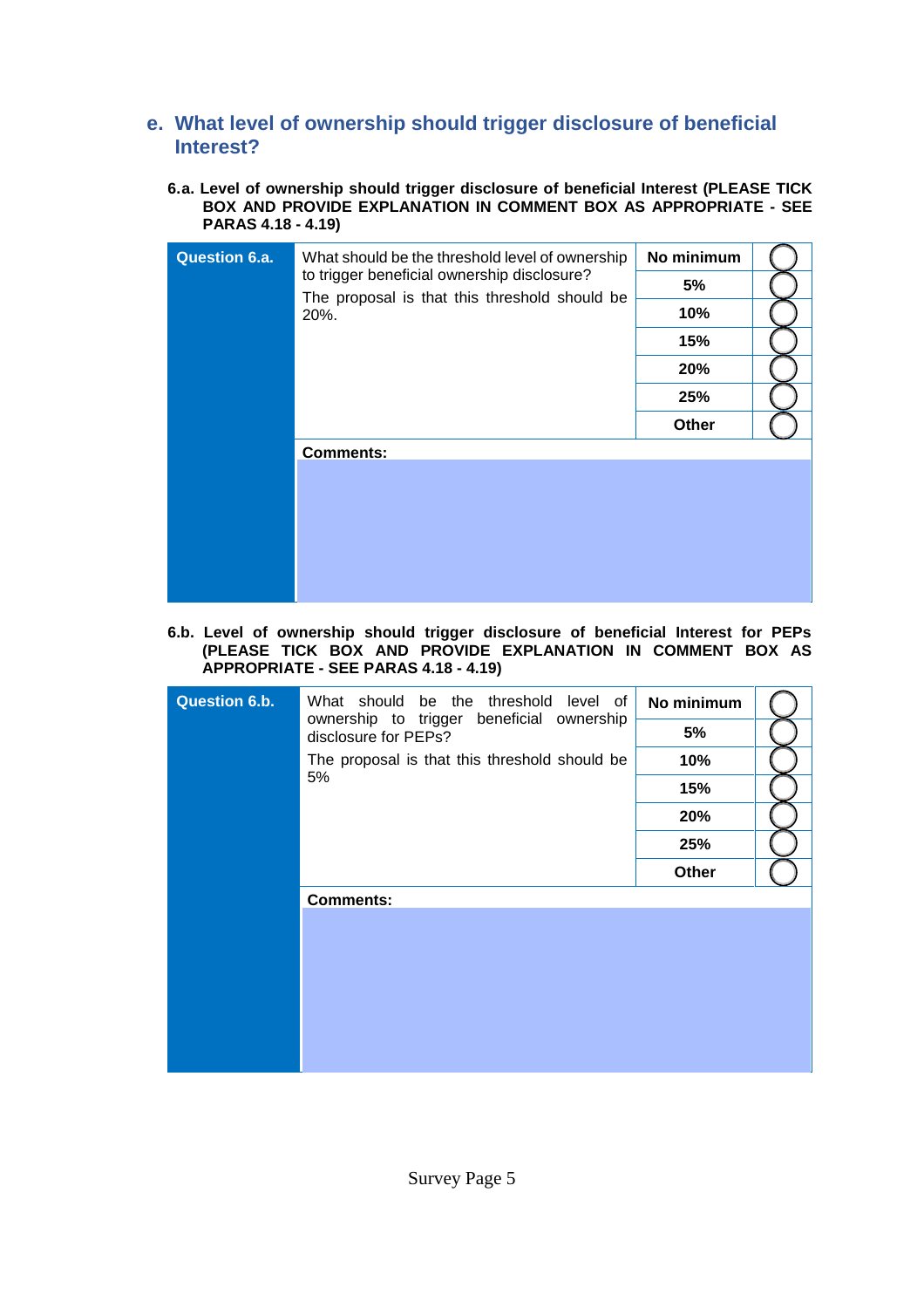### **e. What level of ownership should trigger disclosure of beneficial Interest?**

**6.a. Level of ownership should trigger disclosure of beneficial Interest (PLEASE TICK BOX AND PROVIDE EXPLANATION IN COMMENT BOX AS APPROPRIATE - SEE PARAS 4.18 - 4.19)**

| <b>Question 6.a.</b> | What should be the threshold level of ownership                                              | No minimum |  |
|----------------------|----------------------------------------------------------------------------------------------|------------|--|
|                      | to trigger beneficial ownership disclosure?<br>The proposal is that this threshold should be | 5%         |  |
|                      | 20%.                                                                                         | 10%        |  |
|                      |                                                                                              | 15%        |  |
|                      |                                                                                              | 20%        |  |
|                      |                                                                                              | 25%        |  |
|                      |                                                                                              | Other      |  |
|                      | <b>Comments:</b>                                                                             |            |  |
|                      |                                                                                              |            |  |
|                      |                                                                                              |            |  |
|                      |                                                                                              |            |  |
|                      |                                                                                              |            |  |
|                      |                                                                                              |            |  |

### **6.b. Level of ownership should trigger disclosure of beneficial Interest for PEPs (PLEASE TICK BOX AND PROVIDE EXPLANATION IN COMMENT BOX AS APPROPRIATE - SEE PARAS 4.18 - 4.19)**

| <b>Question 6.b.</b> | What should be the threshold level of                             | No minimum |  |
|----------------------|-------------------------------------------------------------------|------------|--|
|                      | ownership to trigger beneficial ownership<br>disclosure for PEPs? | 5%         |  |
|                      | The proposal is that this threshold should be                     | 10%        |  |
|                      | 5%                                                                | 15%        |  |
|                      |                                                                   | 20%        |  |
|                      |                                                                   | 25%        |  |
|                      |                                                                   | Other      |  |
|                      | <b>Comments:</b>                                                  |            |  |
|                      |                                                                   |            |  |
|                      |                                                                   |            |  |
|                      |                                                                   |            |  |
|                      |                                                                   |            |  |
|                      |                                                                   |            |  |
|                      |                                                                   |            |  |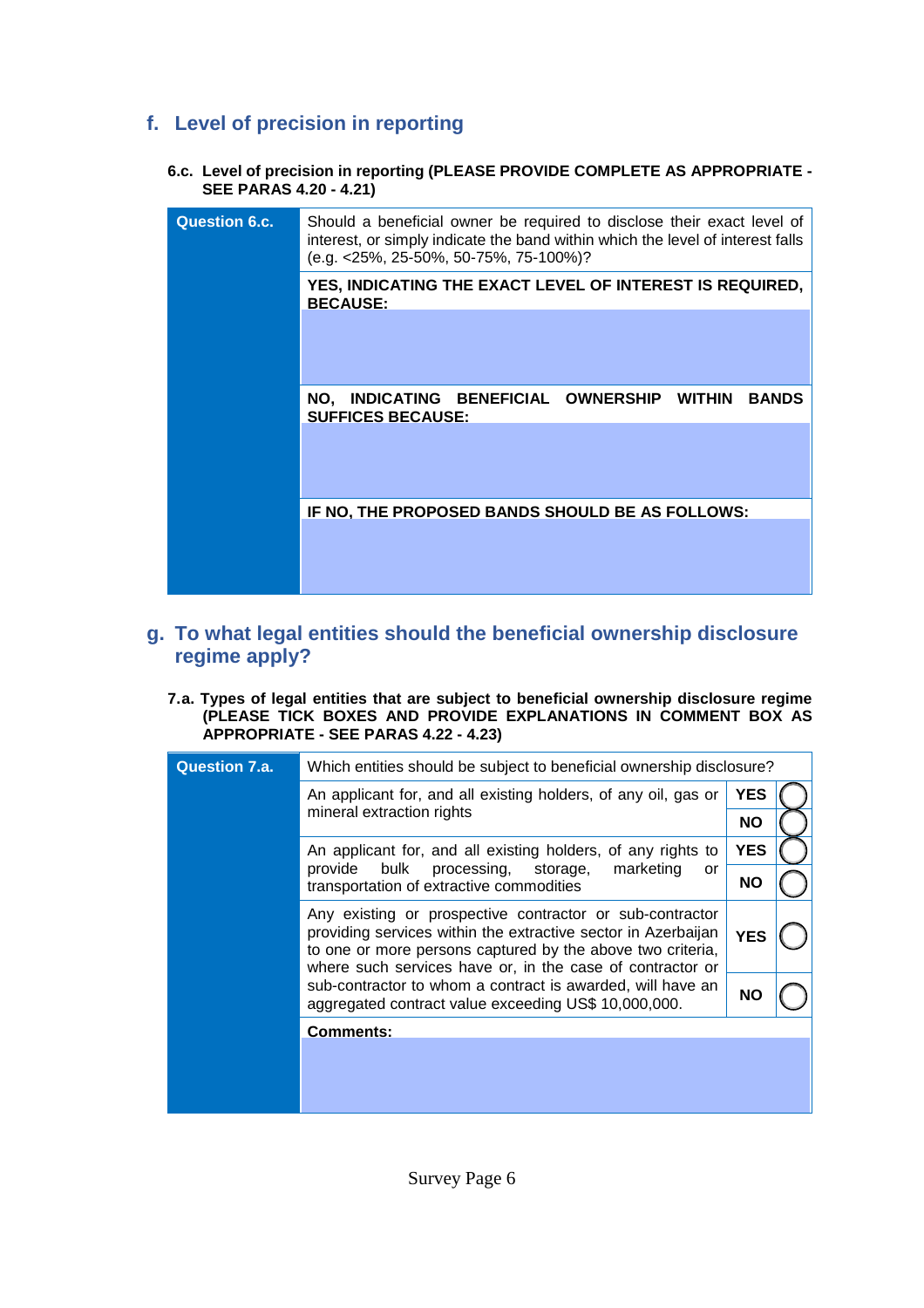## **f. Level of precision in reporting**

**6.c. Level of precision in reporting (PLEASE PROVIDE COMPLETE AS APPROPRIATE - SEE PARAS 4.20 - 4.21)**

| <b>Question 6.c.</b> | Should a beneficial owner be required to disclose their exact level of<br>interest, or simply indicate the band within which the level of interest falls<br>(e.g. <25%, 25-50%, 50-75%, 75-100%)? |
|----------------------|---------------------------------------------------------------------------------------------------------------------------------------------------------------------------------------------------|
|                      | YES, INDICATING THE EXACT LEVEL OF INTEREST IS REQUIRED,<br><b>BECAUSE:</b>                                                                                                                       |
|                      |                                                                                                                                                                                                   |
|                      | NO, INDICATING BENEFICIAL OWNERSHIP<br><b>WITHIN</b><br><b>BANDS</b><br><b>SUFFICES BECAUSE:</b>                                                                                                  |
|                      |                                                                                                                                                                                                   |
|                      | IF NO, THE PROPOSED BANDS SHOULD BE AS FOLLOWS:                                                                                                                                                   |
|                      |                                                                                                                                                                                                   |

## **g. To what legal entities should the beneficial ownership disclosure regime apply?**

### **7.a. Types of legal entities that are subject to beneficial ownership disclosure regime (PLEASE TICK BOXES AND PROVIDE EXPLANATIONS IN COMMENT BOX AS APPROPRIATE - SEE PARAS 4.22 - 4.23)**

| <b>Question 7.a.</b><br>Which entities should be subject to beneficial ownership disclosure? |                                                                                                                                                                                                                                                      |            |  |
|----------------------------------------------------------------------------------------------|------------------------------------------------------------------------------------------------------------------------------------------------------------------------------------------------------------------------------------------------------|------------|--|
|                                                                                              | An applicant for, and all existing holders, of any oil, gas or                                                                                                                                                                                       |            |  |
|                                                                                              | mineral extraction rights                                                                                                                                                                                                                            | <b>NO</b>  |  |
|                                                                                              | An applicant for, and all existing holders, of any rights to                                                                                                                                                                                         | <b>YES</b> |  |
|                                                                                              | bulk<br>marketing<br>provide<br>processing, storage,<br>or<br>transportation of extractive commodities                                                                                                                                               |            |  |
|                                                                                              | Any existing or prospective contractor or sub-contractor<br>providing services within the extractive sector in Azerbaijan<br>to one or more persons captured by the above two criteria,<br>where such services have or, in the case of contractor or | <b>YES</b> |  |
|                                                                                              | sub-contractor to whom a contract is awarded, will have an<br>aggregated contract value exceeding US\$ 10,000,000.                                                                                                                                   | <b>NO</b>  |  |
|                                                                                              | <b>Comments:</b>                                                                                                                                                                                                                                     |            |  |
|                                                                                              |                                                                                                                                                                                                                                                      |            |  |
|                                                                                              |                                                                                                                                                                                                                                                      |            |  |
|                                                                                              |                                                                                                                                                                                                                                                      |            |  |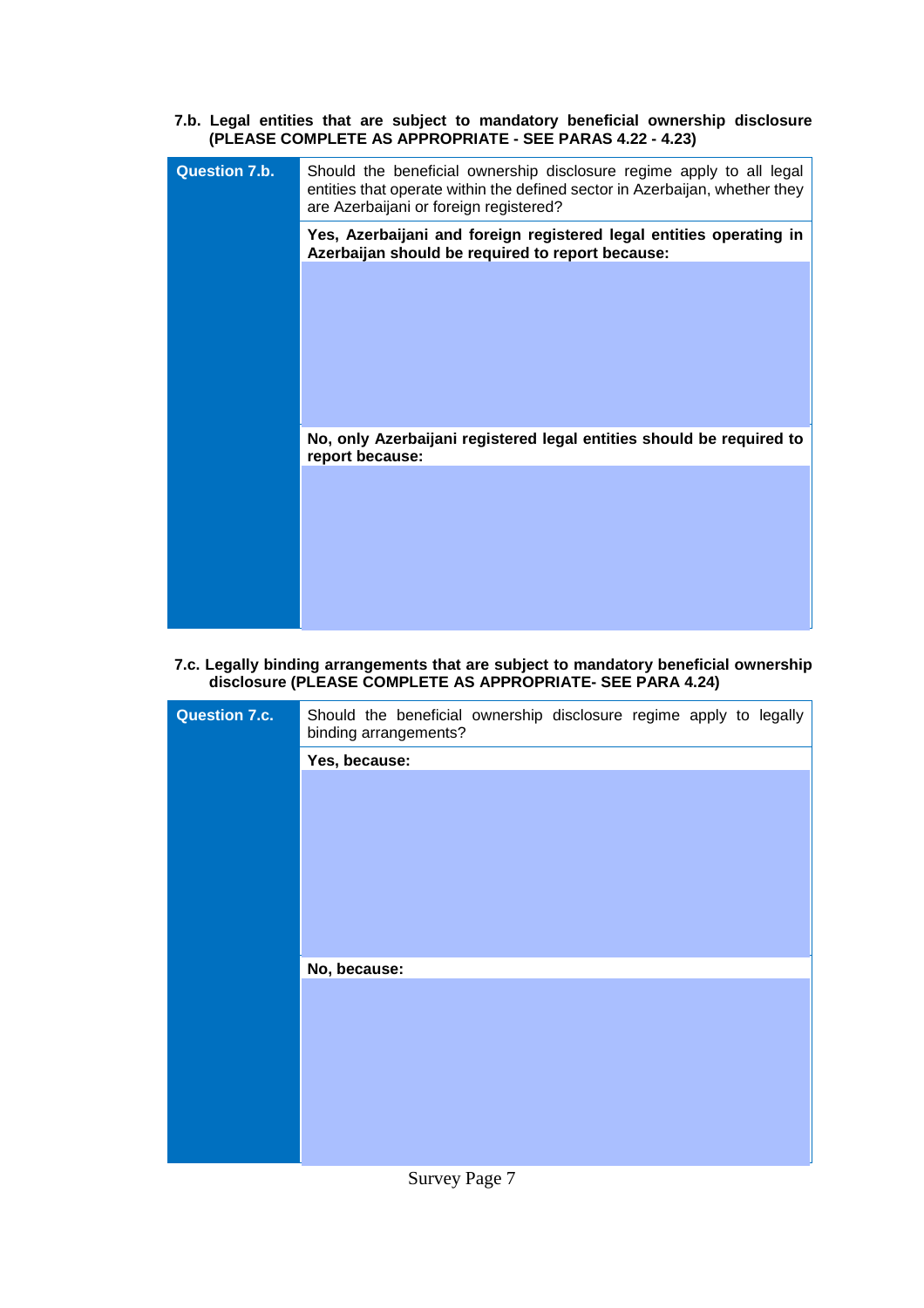**7.b. Legal entities that are subject to mandatory beneficial ownership disclosure (PLEASE COMPLETE AS APPROPRIATE - SEE PARAS 4.22 - 4.23)**

| <b>Question 7.b.</b> | Should the beneficial ownership disclosure regime apply to all legal<br>entities that operate within the defined sector in Azerbaijan, whether they<br>are Azerbaijani or foreign registered? |
|----------------------|-----------------------------------------------------------------------------------------------------------------------------------------------------------------------------------------------|
|                      | Yes, Azerbaijani and foreign registered legal entities operating in<br>Azerbaijan should be required to report because:                                                                       |
|                      |                                                                                                                                                                                               |
|                      |                                                                                                                                                                                               |
|                      |                                                                                                                                                                                               |
|                      |                                                                                                                                                                                               |
|                      | No, only Azerbaijani registered legal entities should be required to<br>report because:                                                                                                       |
|                      |                                                                                                                                                                                               |
|                      |                                                                                                                                                                                               |
|                      |                                                                                                                                                                                               |
|                      |                                                                                                                                                                                               |

**7.c. Legally binding arrangements that are subject to mandatory beneficial ownership disclosure (PLEASE COMPLETE AS APPROPRIATE- SEE PARA 4.24)**

| <b>Question 7.c.</b> | Should the beneficial ownership disclosure regime apply to legally |
|----------------------|--------------------------------------------------------------------|
|                      | binding arrangements?                                              |
|                      | Yes, because:                                                      |
|                      |                                                                    |
|                      |                                                                    |
|                      |                                                                    |
|                      |                                                                    |
|                      |                                                                    |
|                      |                                                                    |
|                      |                                                                    |
|                      |                                                                    |
|                      |                                                                    |
|                      | No, because:                                                       |
|                      |                                                                    |
|                      |                                                                    |
|                      |                                                                    |
|                      |                                                                    |
|                      |                                                                    |
|                      |                                                                    |
|                      |                                                                    |
|                      |                                                                    |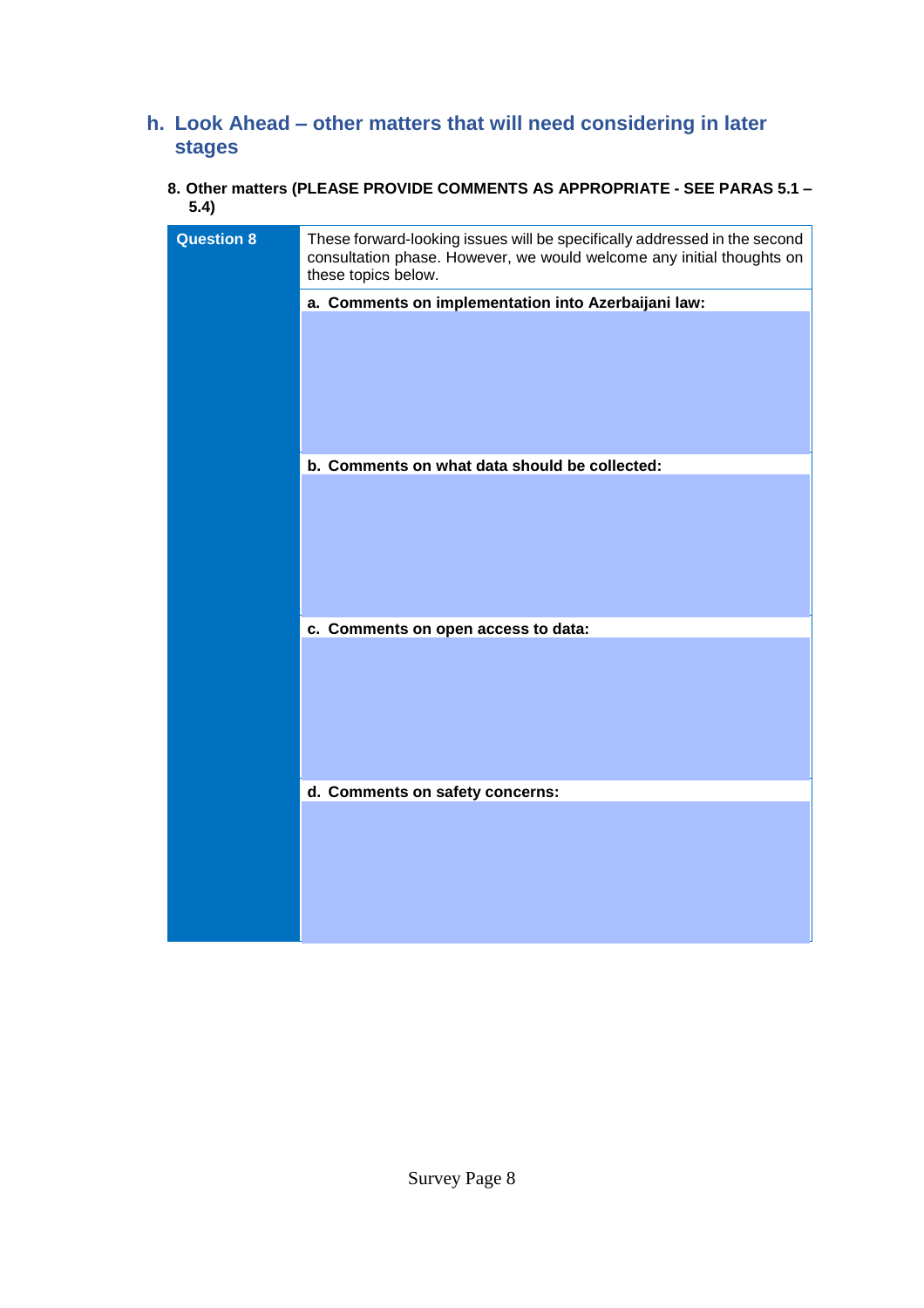# **h. Look Ahead – other matters that will need considering in later stages**

### **8. Other matters (PLEASE PROVIDE COMMENTS AS APPROPRIATE - SEE PARAS 5.1 – 5.4)**

| <b>Question 8</b> | These forward-looking issues will be specifically addressed in the second<br>consultation phase. However, we would welcome any initial thoughts on<br>these topics below. |
|-------------------|---------------------------------------------------------------------------------------------------------------------------------------------------------------------------|
|                   | a. Comments on implementation into Azerbaijani law:                                                                                                                       |
|                   |                                                                                                                                                                           |
|                   | b. Comments on what data should be collected:                                                                                                                             |
|                   |                                                                                                                                                                           |
|                   | c. Comments on open access to data:                                                                                                                                       |
|                   |                                                                                                                                                                           |
|                   | d. Comments on safety concerns:                                                                                                                                           |
|                   |                                                                                                                                                                           |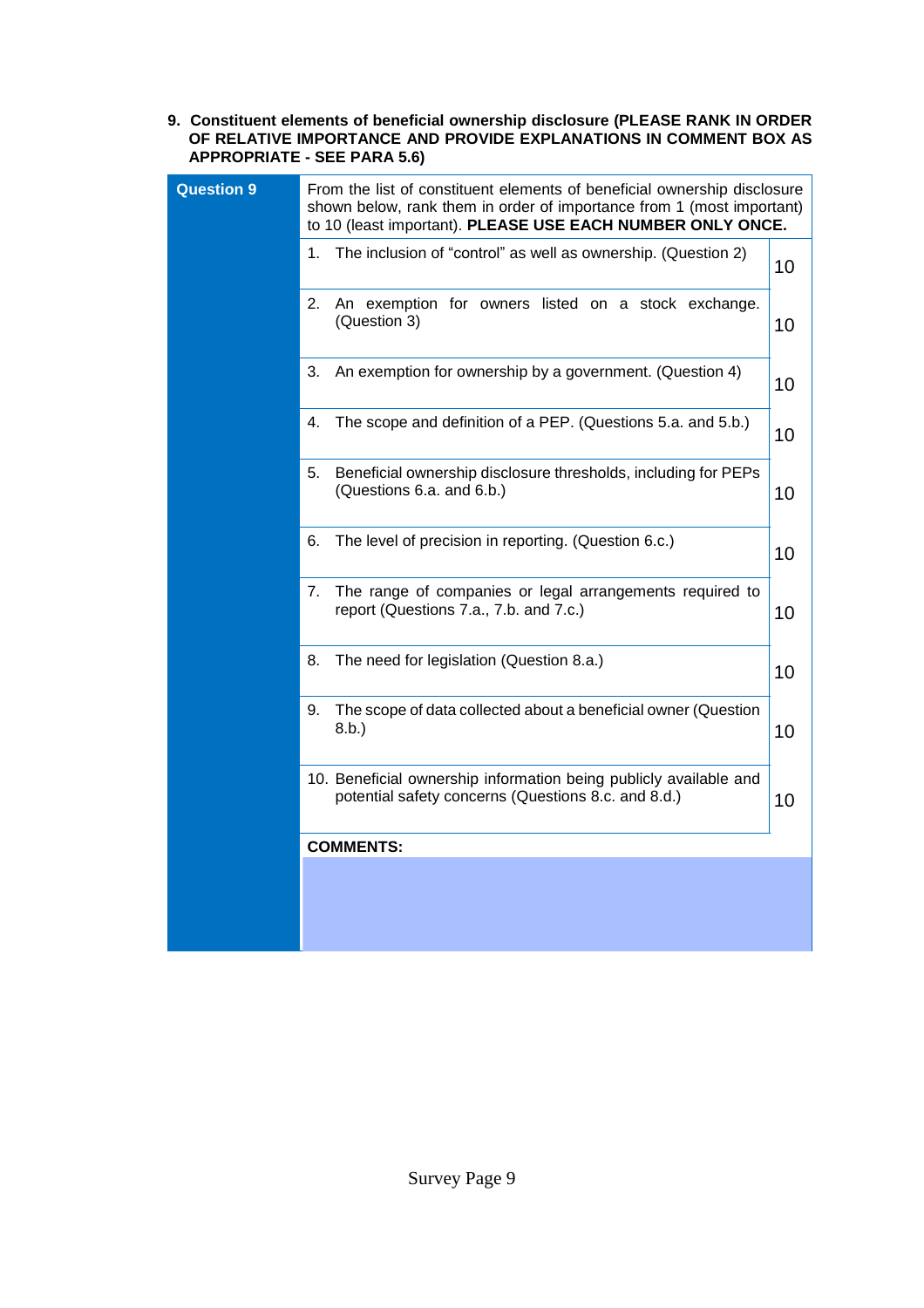#### **9. Constituent elements of beneficial ownership disclosure (PLEASE RANK IN ORDER OF RELATIVE IMPORTANCE AND PROVIDE EXPLANATIONS IN COMMENT BOX AS APPROPRIATE - SEE PARA 5.6)**

| <b>Question 9</b> | From the list of constituent elements of beneficial ownership disclosure<br>shown below, rank them in order of importance from 1 (most important)<br>to 10 (least important). PLEASE USE EACH NUMBER ONLY ONCE. |    |
|-------------------|-----------------------------------------------------------------------------------------------------------------------------------------------------------------------------------------------------------------|----|
|                   | The inclusion of "control" as well as ownership. (Question 2)<br>1.                                                                                                                                             | 10 |
|                   | An exemption for owners listed on a stock exchange.<br>2.<br>(Question 3)                                                                                                                                       | 10 |
|                   | An exemption for ownership by a government. (Question 4)<br>3.                                                                                                                                                  | 10 |
|                   | The scope and definition of a PEP. (Questions 5.a. and 5.b.)<br>4.                                                                                                                                              | 10 |
|                   | 5.<br>Beneficial ownership disclosure thresholds, including for PEPs<br>(Questions 6.a. and 6.b.)                                                                                                               | 10 |
|                   | The level of precision in reporting. (Question 6.c.)<br>6.                                                                                                                                                      | 10 |
|                   | The range of companies or legal arrangements required to<br>7.<br>report (Questions 7.a., 7.b. and 7.c.)                                                                                                        | 10 |
|                   | The need for legislation (Question 8.a.)<br>8.                                                                                                                                                                  | 10 |
|                   | The scope of data collected about a beneficial owner (Question<br>9.<br>8.b.)                                                                                                                                   | 10 |
|                   | 10. Beneficial ownership information being publicly available and<br>potential safety concerns (Questions 8.c. and 8.d.)                                                                                        | 10 |
|                   | <b>COMMENTS:</b>                                                                                                                                                                                                |    |
|                   |                                                                                                                                                                                                                 |    |
|                   |                                                                                                                                                                                                                 |    |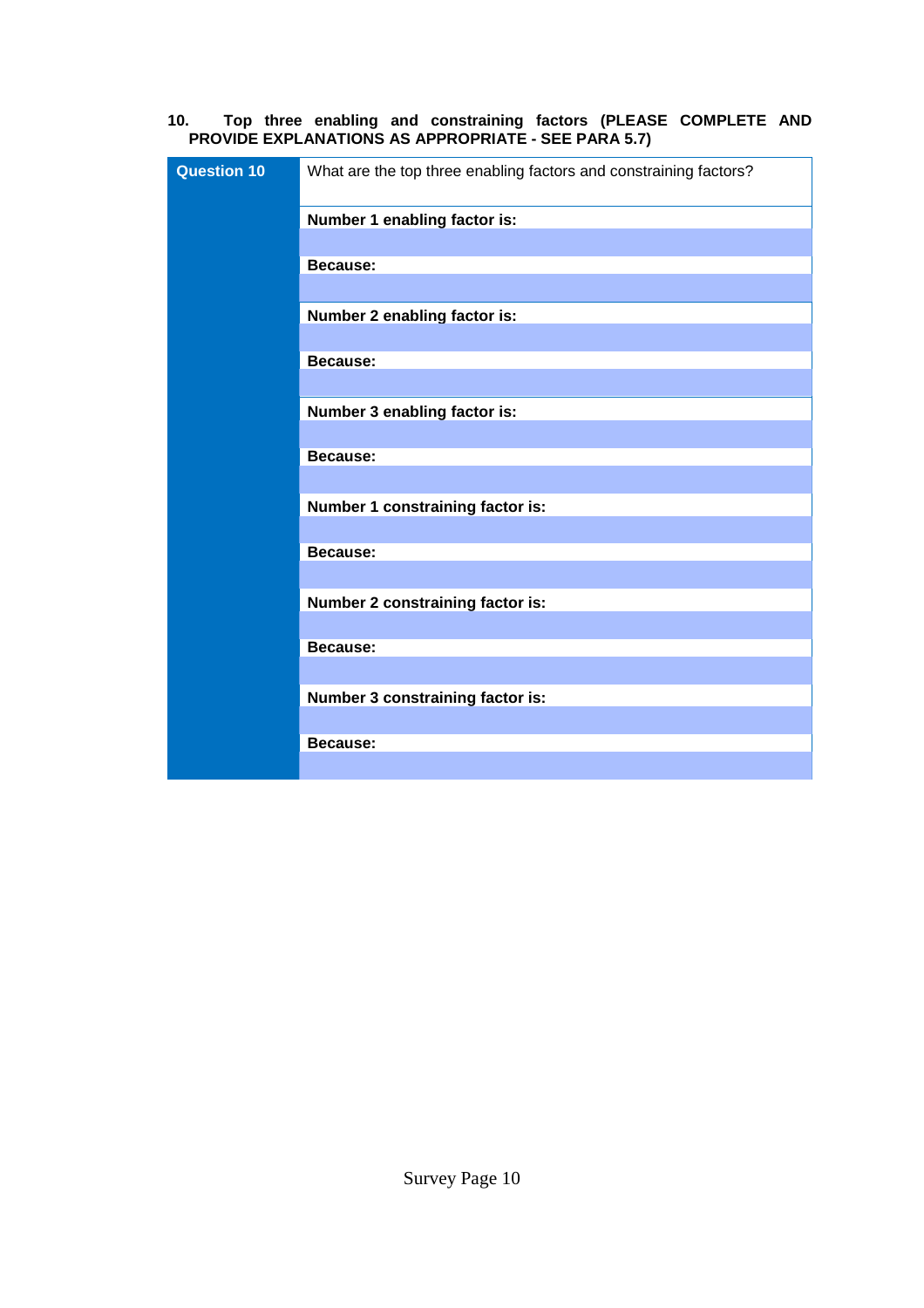### **10. Top three enabling and constraining factors (PLEASE COMPLETE AND PROVIDE EXPLANATIONS AS APPROPRIATE - SEE PARA 5.7)**

| <b>Question 10</b> | What are the top three enabling factors and constraining factors? |
|--------------------|-------------------------------------------------------------------|
|                    | Number 1 enabling factor is:                                      |
|                    |                                                                   |
|                    | <b>Because:</b>                                                   |
|                    |                                                                   |
|                    | Number 2 enabling factor is:                                      |
|                    |                                                                   |
|                    | <b>Because:</b>                                                   |
|                    |                                                                   |
|                    | Number 3 enabling factor is:                                      |
|                    | <b>Because:</b>                                                   |
|                    |                                                                   |
|                    | Number 1 constraining factor is:                                  |
|                    |                                                                   |
|                    | <b>Because:</b>                                                   |
|                    |                                                                   |
|                    | Number 2 constraining factor is:                                  |
|                    |                                                                   |
|                    | <b>Because:</b>                                                   |
|                    |                                                                   |
|                    | Number 3 constraining factor is:                                  |
|                    | <b>Because:</b>                                                   |
|                    |                                                                   |
|                    |                                                                   |